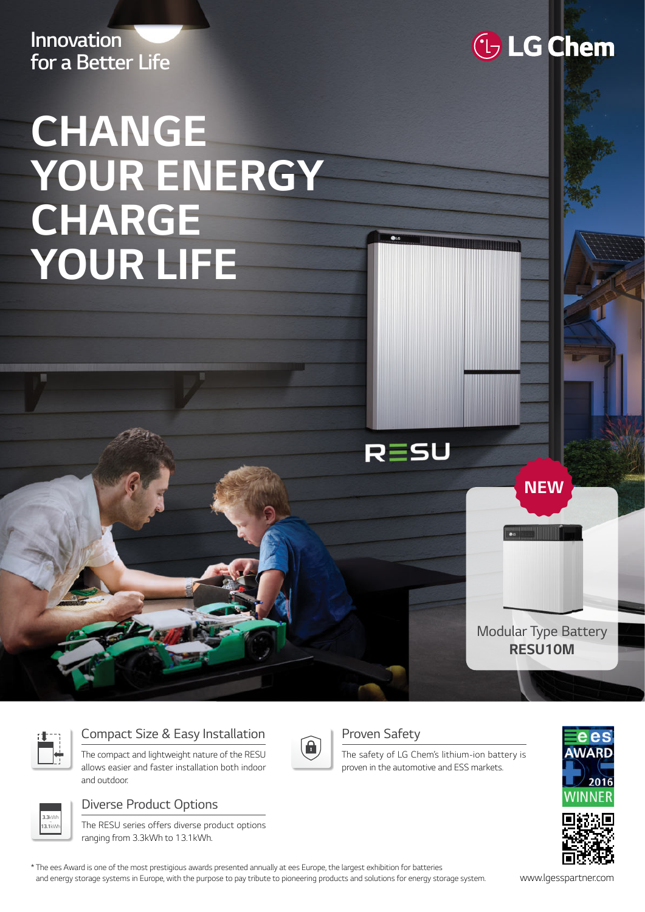**Innovation for a Better Life**

## **CHANGE YOUR ENERGY CHARGE YOUR LIFE**

Modular Type Battery **RESU10M**

**NEW**



**3.3**kWh ~ **13.1**kWh

## Compact Size & Easy Installation

The compact and lightweight nature of the RESU allows easier and faster installation both indoor and outdoor.

The RESU series offers diverse product options

Diverse Product Options



## Proven Safety

RESU

The safety of LG Chem's lithium-ion battery is proven in the automotive and ESS markets.





ranging from 3.3kWh to 13.1kWh.

\* The ees Award is one of the most prestigious awards presented annually at ees Europe, the largest exhibition for batteries and energy storage systems in Europe, with the purpose to pay tribute to pioneering products and solutions for energy storage system. www.lgesspartner.com